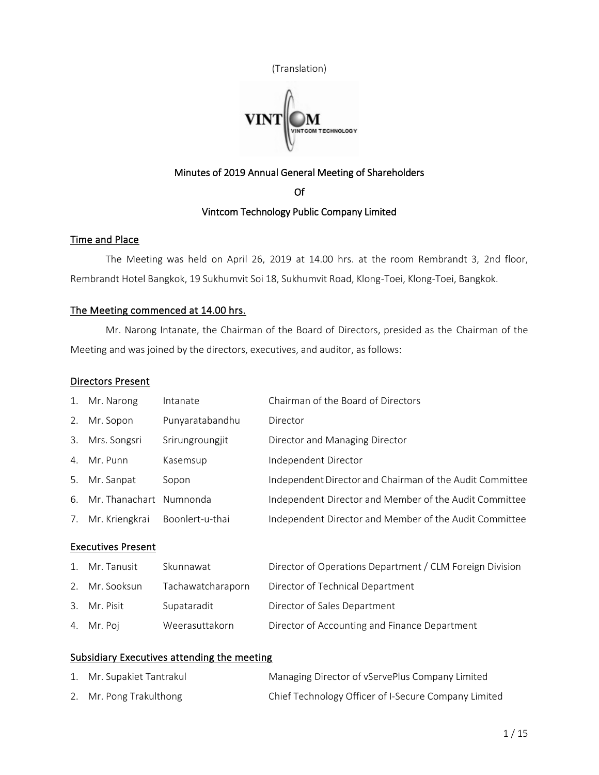



# Minutes of 2019 Annual General Meeting of Shareholders

Of

# Vintcom Technology Public Company Limited

# Time and Place

The Meeting was held on April 26, 2019 at 14.00 hrs. at the room Rembrandt 3, 2nd floor, Rembrandt Hotel Bangkok, 19 Sukhumvit Soi 18, Sukhumvit Road, Klong-Toei, Klong-Toei, Bangkok.

# The Meeting commenced at 14.00 hrs.

Mr. Narong Intanate, the Chairman of the Board of Directors, presided as the Chairman of the Meeting and was joined by the directors, executives, and auditor, as follows:

## Directors Present

| 1. | Mr. Narong                | Intanate          | Chairman of the Board of Directors                       |
|----|---------------------------|-------------------|----------------------------------------------------------|
| 2. | Mr. Sopon                 | Punyaratabandhu   | Director                                                 |
|    | 3. Mrs. Songsri           | Srirungroungjit   | Director and Managing Director                           |
|    | 4. Mr. Punn               | Kasemsup          | Independent Director                                     |
|    | 5. Mr. Sanpat             | Sopon             | Independent Director and Chairman of the Audit Committee |
|    | 6. Mr. Thanachart         | Numnonda          | Independent Director and Member of the Audit Committee   |
| 7. | Mr. Kriengkrai            | Boonlert-u-thai   | Independent Director and Member of the Audit Committee   |
|    | <b>Executives Present</b> |                   |                                                          |
|    | 1. Mr. Tanusit            | Skunnawat         | Director of Operations Department / CLM Foreign Division |
|    | 2. Mr. Sooksun            | Tachawatcharaporn | Director of Technical Department                         |
|    | 3. Mr. Pisit              | Supataradit       | Director of Sales Department                             |
|    | 4. Mr. Poj                | Weerasuttakorn    | Director of Accounting and Finance Department            |

# Subsidiary Executives attending the meeting

| 1. Mr. Supakiet Tantrakul | Managing Director of vServePlus Company Limited      |
|---------------------------|------------------------------------------------------|
| 2. Mr. Pong Trakulthong   | Chief Technology Officer of I-Secure Company Limited |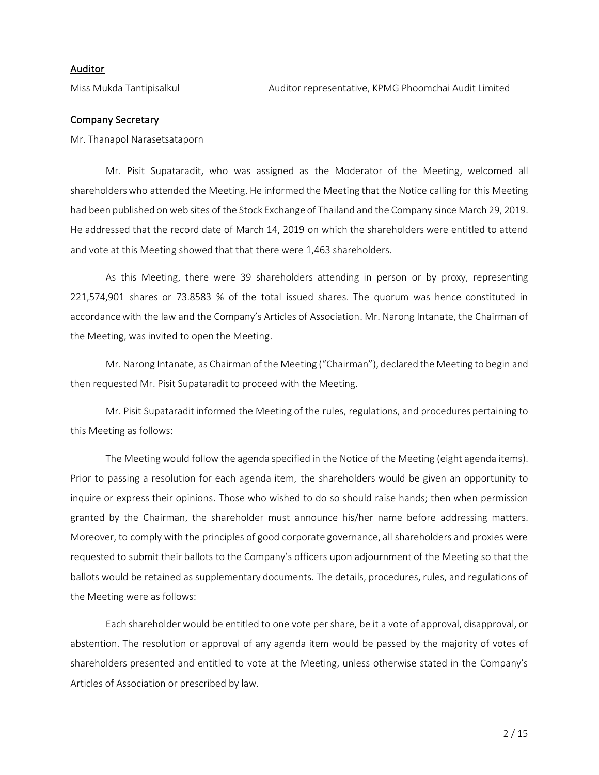# Auditor

### Company Secretary

Mr. Thanapol Narasetsataporn

Mr. Pisit Supataradit, who was assigned as the Moderator of the Meeting, welcomed all shareholders who attended the Meeting. He informed the Meeting that the Notice calling for this Meeting had been published on web sites of the Stock Exchange of Thailand and the Company since March 29, 2019. He addressed that the record date of March 14, 2019 on which the shareholders were entitled to attend and vote at this Meeting showed that that there were 1,463 shareholders.

As this Meeting, there were 39 shareholders attending in person or by proxy, representing 221,574,901 shares or 73.8583 % of the total issued shares. The quorum was hence constituted in accordance with the law and the Company's Articles of Association. Mr. Narong Intanate, the Chairman of the Meeting, was invited to open the Meeting.

Mr. Narong Intanate, as Chairman of the Meeting ("Chairman"), declared the Meeting to begin and then requested Mr. Pisit Supataradit to proceed with the Meeting.

Mr. Pisit Supataradit informed the Meeting of the rules, regulations, and procedures pertaining to this Meeting as follows:

The Meeting would follow the agenda specified in the Notice of the Meeting (eight agenda items). Prior to passing a resolution for each agenda item, the shareholders would be given an opportunity to inquire or express their opinions. Those who wished to do so should raise hands; then when permission granted by the Chairman, the shareholder must announce his/her name before addressing matters. Moreover, to comply with the principles of good corporate governance, all shareholders and proxies were requested to submit their ballots to the Company's officers upon adjournment of the Meeting so that the ballots would be retained as supplementary documents. The details, procedures, rules, and regulations of the Meeting were as follows:

Each shareholder would be entitled to one vote per share, be it a vote of approval, disapproval, or abstention. The resolution or approval of any agenda item would be passed by the majority of votes of shareholders presented and entitled to vote at the Meeting, unless otherwise stated in the Company's Articles of Association or prescribed by law.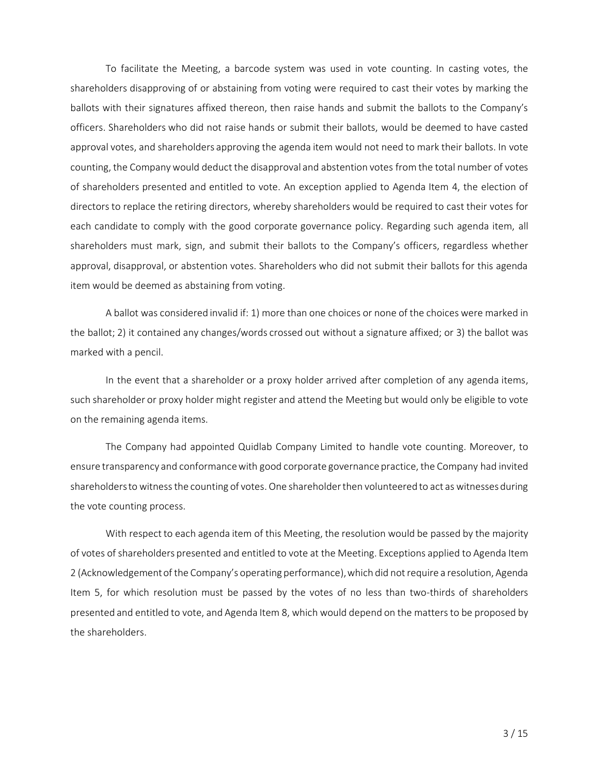To facilitate the Meeting, a barcode system was used in vote counting. In casting votes, the shareholders disapproving of or abstaining from voting were required to cast their votes by marking the ballots with their signatures affixed thereon, then raise hands and submit the ballots to the Company's officers. Shareholders who did not raise hands or submit their ballots, would be deemed to have casted approval votes, and shareholders approving the agenda item would not need to mark their ballots. In vote counting, the Company would deduct the disapproval and abstention votes from the total number of votes of shareholders presented and entitled to vote. An exception applied to Agenda Item 4, the election of directors to replace the retiring directors, whereby shareholders would be required to cast their votes for each candidate to comply with the good corporate governance policy. Regarding such agenda item, all shareholders must mark, sign, and submit their ballots to the Company's officers, regardless whether approval, disapproval, or abstention votes. Shareholders who did not submit their ballots for this agenda item would be deemed as abstaining from voting.

A ballot was considered invalid if: 1) more than one choices or none of the choices were marked in the ballot; 2) it contained any changes/words crossed out without a signature affixed; or 3) the ballot was marked with a pencil.

In the event that a shareholder or a proxy holder arrived after completion of any agenda items, such shareholder or proxy holder might register and attend the Meeting but would only be eligible to vote on the remaining agenda items.

The Company had appointed Quidlab Company Limited to handle vote counting. Moreover, to ensure transparency and conformance with good corporate governance practice, the Company had invited shareholders to witness the counting of votes. One shareholderthen volunteered to act as witnesses during the vote counting process.

With respect to each agenda item of this Meeting, the resolution would be passed by the majority of votes of shareholders presented and entitled to vote at the Meeting. Exceptions applied to Agenda Item 2 (Acknowledgement of the Company's operating performance), which did not require a resolution, Agenda Item 5, for which resolution must be passed by the votes of no less than two-thirds of shareholders presented and entitled to vote, and Agenda Item 8, which would depend on the matters to be proposed by the shareholders.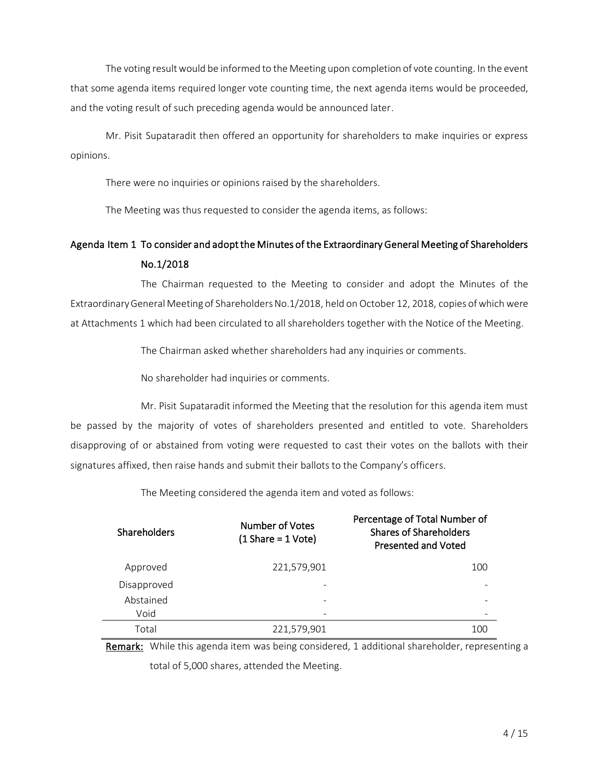The voting result would be informed to the Meeting upon completion of vote counting. In the event that some agenda items required longer vote counting time, the next agenda items would be proceeded, and the voting result of such preceding agenda would be announced later.

Mr. Pisit Supataradit then offered an opportunity for shareholders to make inquiries or express opinions.

There were no inquiries or opinions raised by the shareholders.

The Meeting was thus requested to consider the agenda items, as follows:

# Agenda Item 1 To consider and adopt the Minutes of the Extraordinary General Meeting of Shareholders No.1/2018

The Chairman requested to the Meeting to consider and adopt the Minutes of the Extraordinary General Meeting of Shareholders No.1/2018, held on October 12, 2018, copies of which were at Attachments 1 which had been circulated to all shareholders together with the Notice of the Meeting.

The Chairman asked whether shareholders had any inquiries or comments.

No shareholder had inquiries or comments.

Mr. Pisit Supataradit informed the Meeting that the resolution for this agenda item must be passed by the majority of votes of shareholders presented and entitled to vote. Shareholders disapproving of or abstained from voting were requested to cast their votes on the ballots with their signatures affixed, then raise hands and submit their ballots to the Company's officers.

The Meeting considered the agenda item and voted as follows:

| <b>Shareholders</b> | Number of Votes<br>$(1 \text{Share} = 1 \text{Vote})$ | Percentage of Total Number of<br><b>Shares of Shareholders</b><br><b>Presented and Voted</b> |
|---------------------|-------------------------------------------------------|----------------------------------------------------------------------------------------------|
| Approved            | 221,579,901                                           | 100                                                                                          |
| Disapproved         |                                                       |                                                                                              |
| Abstained           |                                                       |                                                                                              |
| Void                |                                                       |                                                                                              |
| Total               | 221,579,901                                           | 100                                                                                          |

Remark: While this agenda item was being considered, 1 additional shareholder, representing a total of 5,000 shares, attended the Meeting.

4 / 15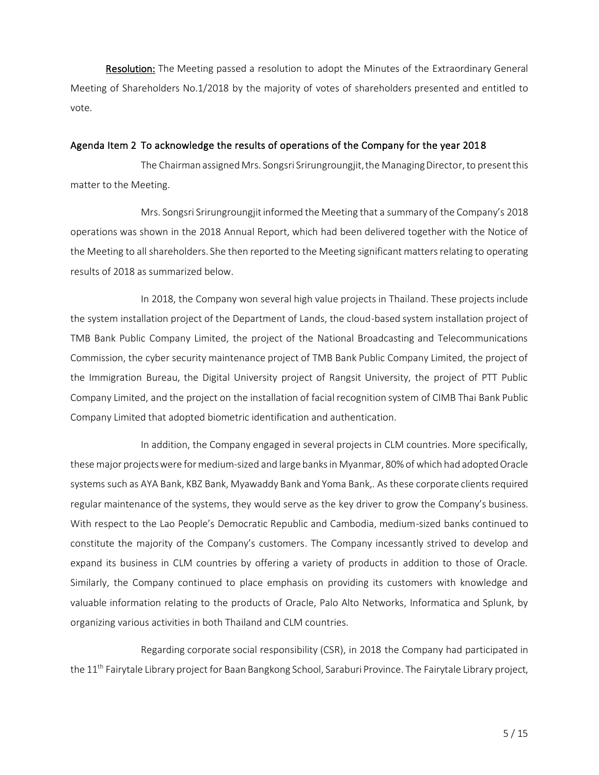Resolution: The Meeting passed a resolution to adopt the Minutes of the Extraordinary General Meeting of Shareholders No.1/2018 by the majority of votes of shareholders presented and entitled to vote.

#### Agenda Item 2 To acknowledge the results of operations of the Company for the year 2018

The Chairman assigned Mrs. Songsri Srirungroungjit, the Managing Director, to present this matter to the Meeting.

Mrs. Songsri Srirungroungjit informed the Meeting that a summary of the Company's 2018 operations was shown in the 2018 Annual Report, which had been delivered together with the Notice of the Meeting to all shareholders. She then reported to the Meeting significant matters relating to operating results of 2018 as summarized below.

In 2018, the Company won several high value projects in Thailand. These projects include the system installation project of the Department of Lands, the cloud-based system installation project of TMB Bank Public Company Limited, the project of the National Broadcasting and Telecommunications Commission, the cyber security maintenance project of TMB Bank Public Company Limited, the project of the Immigration Bureau, the Digital University project of Rangsit University, the project of PTT Public Company Limited, and the project on the installation of facial recognition system of CIMB Thai Bank Public Company Limited that adopted biometric identification and authentication.

In addition, the Company engaged in several projects in CLM countries. More specifically, these major projectswere for medium-sized and large banks in Myanmar, 80% of which had adopted Oracle systems such as AYA Bank, KBZ Bank, Myawaddy Bank and Yoma Bank,. As these corporate clients required regular maintenance of the systems, they would serve as the key driver to grow the Company's business. With respect to the Lao People's Democratic Republic and Cambodia, medium-sized banks continued to constitute the majority of the Company's customers. The Company incessantly strived to develop and expand its business in CLM countries by offering a variety of products in addition to those of Oracle. Similarly, the Company continued to place emphasis on providing its customers with knowledge and valuable information relating to the products of Oracle, Palo Alto Networks, Informatica and Splunk, by organizing various activities in both Thailand and CLM countries.

Regarding corporate social responsibility (CSR), in 2018 the Company had participated in the 11<sup>th</sup> Fairytale Library project for Baan Bangkong School, Saraburi Province. The Fairytale Library project,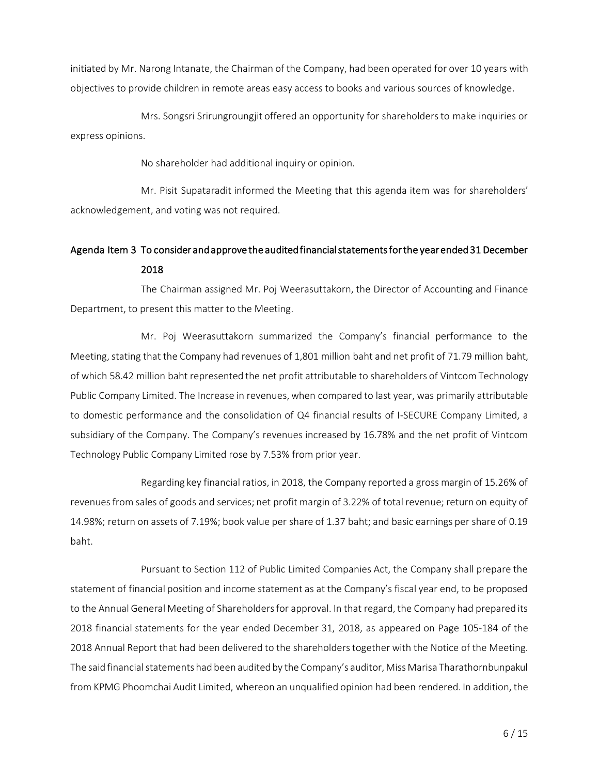initiated by Mr. Narong Intanate, the Chairman of the Company, had been operated for over 10 years with objectives to provide children in remote areas easy access to books and various sources of knowledge.

Mrs. Songsri Srirungroungjit offered an opportunity for shareholders to make inquiries or express opinions.

No shareholder had additional inquiry or opinion.

Mr. Pisit Supataradit informed the Meeting that this agenda item was for shareholders' acknowledgement, and voting was not required.

# Agenda Item 3 To consider and approve the audited financial statements for the year ended 31 December 2018

 The Chairman assigned Mr. Poj Weerasuttakorn, the Director of Accounting and Finance Department, to present this matter to the Meeting.

Mr. Poj Weerasuttakorn summarized the Company's financial performance to the Meeting, stating that the Company had revenues of 1,801 million baht and net profit of 71.79 million baht, of which 58.42 million baht represented the net profit attributable to shareholders of Vintcom Technology Public Company Limited. The Increase in revenues, when compared to last year, was primarily attributable to domestic performance and the consolidation of Q4 financial results of I-SECURE Company Limited, a subsidiary of the Company. The Company's revenues increased by 16.78% and the net profit of Vintcom Technology Public Company Limited rose by 7.53% from prior year.

Regarding key financial ratios, in 2018, the Company reported a gross margin of 15.26% of revenues from sales of goods and services; net profit margin of 3.22% of total revenue; return on equity of 14.98%; return on assets of 7.19%; book value per share of 1.37 baht; and basic earnings per share of 0.19 baht.

Pursuant to Section 112 of Public Limited Companies Act, the Company shall prepare the statement of financial position and income statement as at the Company's fiscal year end, to be proposed to the Annual General Meeting of Shareholders for approval. In that regard, the Company had prepared its 2018 financial statements for the year ended December 31, 2018, as appeared on Page 105-184 of the 2018 Annual Report that had been delivered to the shareholders together with the Notice of the Meeting. The said financial statements had been audited by the Company's auditor, Miss Marisa Tharathornbunpakul from KPMG Phoomchai Audit Limited, whereon an unqualified opinion had been rendered. In addition, the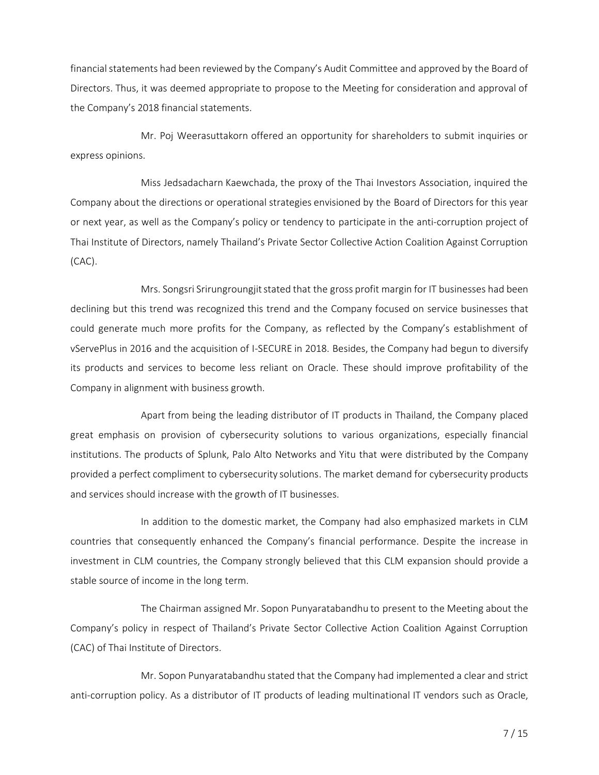financial statements had been reviewed by the Company's Audit Committee and approved by the Board of Directors. Thus, it was deemed appropriate to propose to the Meeting for consideration and approval of the Company's 2018 financial statements.

Mr. Poj Weerasuttakorn offered an opportunity for shareholders to submit inquiries or express opinions.

Miss Jedsadacharn Kaewchada, the proxy of the Thai Investors Association, inquired the Company about the directions or operational strategies envisioned by the Board of Directors for this year or next year, as well as the Company's policy or tendency to participate in the anti-corruption project of Thai Institute of Directors, namely Thailand's Private Sector Collective Action Coalition Against Corruption (CAC).

Mrs. Songsri Srirungroungjit stated that the gross profit margin for IT businesses had been declining but this trend was recognized this trend and the Company focused on service businesses that could generate much more profits for the Company, as reflected by the Company's establishment of vServePlus in 2016 and the acquisition of I-SECURE in 2018. Besides, the Company had begun to diversify its products and services to become less reliant on Oracle. These should improve profitability of the Company in alignment with business growth.

Apart from being the leading distributor of IT products in Thailand, the Company placed great emphasis on provision of cybersecurity solutions to various organizations, especially financial institutions. The products of Splunk, Palo Alto Networks and Yitu that were distributed by the Company provided a perfect compliment to cybersecurity solutions. The market demand for cybersecurity products and services should increase with the growth of IT businesses.

In addition to the domestic market, the Company had also emphasized markets in CLM countries that consequently enhanced the Company's financial performance. Despite the increase in investment in CLM countries, the Company strongly believed that this CLM expansion should provide a stable source of income in the long term.

The Chairman assigned Mr. Sopon Punyaratabandhu to present to the Meeting about the Company's policy in respect of Thailand's Private Sector Collective Action Coalition Against Corruption (CAC) of Thai Institute of Directors.

Mr. Sopon Punyaratabandhu stated that the Company had implemented a clear and strict anti-corruption policy. As a distributor of IT products of leading multinational IT vendors such as Oracle,

7 / 15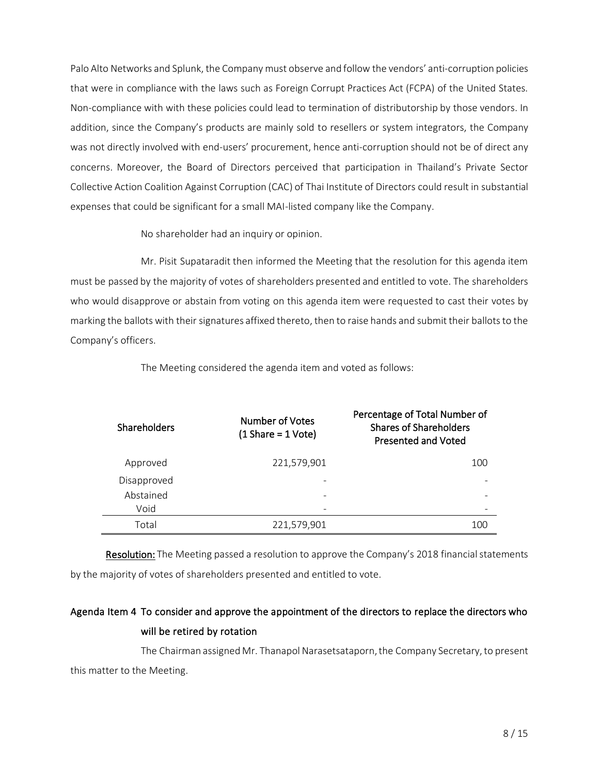Palo Alto Networks and Splunk, the Company must observe and follow the vendors' anti-corruption policies that were in compliance with the laws such as Foreign Corrupt Practices Act (FCPA) of the United States. Non-compliance with with these policies could lead to termination of distributorship by those vendors. In addition, since the Company's products are mainly sold to resellers or system integrators, the Company was not directly involved with end-users' procurement, hence anti-corruption should not be of direct any concerns. Moreover, the Board of Directors perceived that participation in Thailand's Private Sector Collective Action Coalition Against Corruption (CAC) of Thai Institute of Directors could result in substantial expenses that could be significant for a small MAI-listed company like the Company.

No shareholder had an inquiry or opinion.

Mr. Pisit Supataradit then informed the Meeting that the resolution for this agenda item must be passed by the majority of votes of shareholders presented and entitled to vote. The shareholders who would disapprove or abstain from voting on this agenda item were requested to cast their votes by marking the ballots with their signatures affixed thereto, then to raise hands and submit their ballots to the Company's officers.

| <b>Shareholders</b> | Number of Votes<br>$(1 \text{Share} = 1 \text{Vote})$ | Percentage of Total Number of<br><b>Shares of Shareholders</b><br>Presented and Voted |
|---------------------|-------------------------------------------------------|---------------------------------------------------------------------------------------|
| Approved            | 221,579,901                                           | 100                                                                                   |
| Disapproved         |                                                       |                                                                                       |
| Abstained           | -                                                     |                                                                                       |
| Void                |                                                       |                                                                                       |
| Total               | 221,579,901                                           | 10C                                                                                   |

The Meeting considered the agenda item and voted as follows:

Resolution: The Meeting passed a resolution to approve the Company's 2018 financial statements by the majority of votes of shareholders presented and entitled to vote.

# Agenda Item 4 To consider and approve the appointment of the directors to replace the directors who will be retired by rotation

The Chairman assigned Mr. Thanapol Narasetsataporn, the Company Secretary, to present this matter to the Meeting.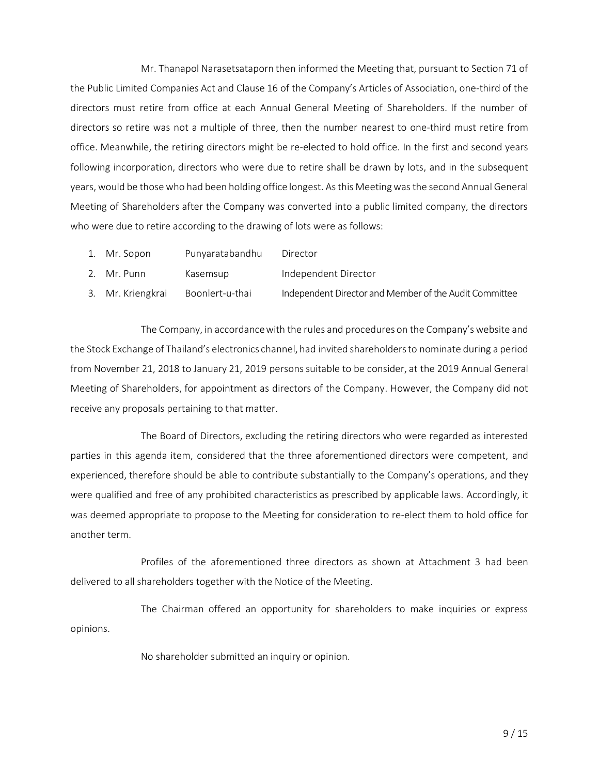Mr. Thanapol Narasetsataporn then informed the Meeting that, pursuant to Section 71 of the Public Limited Companies Act and Clause 16 of the Company's Articles of Association, one-third of the directors must retire from office at each Annual General Meeting of Shareholders. If the number of directors so retire was not a multiple of three, then the number nearest to one-third must retire from office. Meanwhile, the retiring directors might be re-elected to hold office. In the first and second years following incorporation, directors who were due to retire shall be drawn by lots, and in the subsequent years, would be those who had been holding office longest. As this Meeting was the second Annual General Meeting of Shareholders after the Company was converted into a public limited company, the directors who were due to retire according to the drawing of lots were as follows:

- 1. Mr. Sopon Punyaratabandhu Director
- 2. Mr. Punn Kasemsup Independent Director
- 3. Mr. Kriengkrai Boonlert-u-thai Independent Director and Member of the Audit Committee

The Company, in accordance with the rules and procedures on the Company's website and the Stock Exchange of Thailand's electronics channel, had invited shareholders to nominate during a period from November 21, 2018 to January 21, 2019 persons suitable to be consider, at the 2019 Annual General Meeting of Shareholders, for appointment as directors of the Company. However, the Company did not receive any proposals pertaining to that matter.

The Board of Directors, excluding the retiring directors who were regarded as interested parties in this agenda item, considered that the three aforementioned directors were competent, and experienced, therefore should be able to contribute substantially to the Company's operations, and they were qualified and free of any prohibited characteristics as prescribed by applicable laws. Accordingly, it was deemed appropriate to propose to the Meeting for consideration to re-elect them to hold office for another term.

Profiles of the aforementioned three directors as shown at Attachment 3 had been delivered to all shareholders together with the Notice of the Meeting.

The Chairman offered an opportunity for shareholders to make inquiries or express opinions.

No shareholder submitted an inquiry or opinion.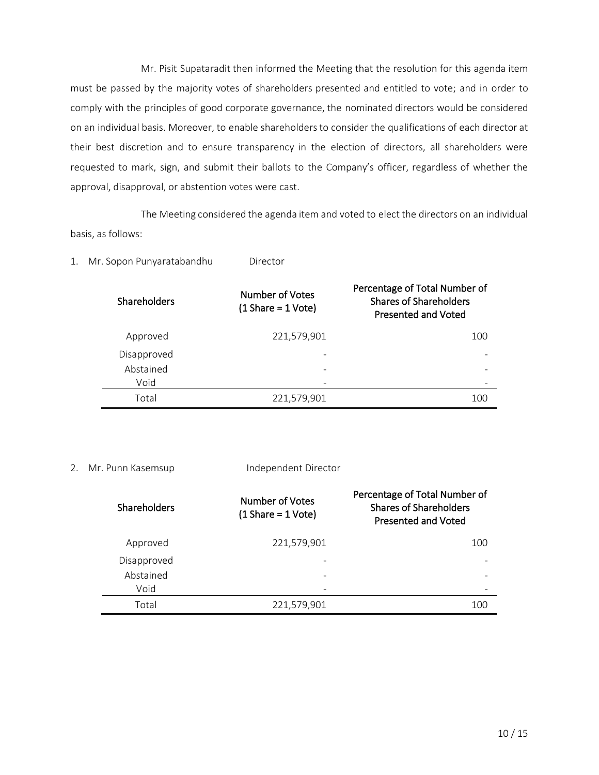Mr. Pisit Supataradit then informed the Meeting that the resolution for this agenda item must be passed by the majority votes of shareholders presented and entitled to vote; and in order to comply with the principles of good corporate governance, the nominated directors would be considered on an individual basis. Moreover, to enable shareholders to consider the qualifications of each director at their best discretion and to ensure transparency in the election of directors, all shareholders were requested to mark, sign, and submit their ballots to the Company's officer, regardless of whether the approval, disapproval, or abstention votes were cast.

The Meeting considered the agenda item and voted to elect the directors on an individual basis, as follows:

| <b>Shareholders</b> | Number of Votes<br>$(1 \text{Share} = 1 \text{Vote})$ | Percentage of Total Number of<br><b>Shares of Shareholders</b><br>Presented and Voted |
|---------------------|-------------------------------------------------------|---------------------------------------------------------------------------------------|
| Approved            | 221,579,901                                           | 100                                                                                   |
| Disapproved         |                                                       |                                                                                       |
| Abstained           |                                                       |                                                                                       |
| Void                |                                                       |                                                                                       |
| Total               | 221,579,901                                           | 100                                                                                   |

1. Mr. Sopon Punyaratabandhu Director

#### 2. Mr. Punn Kasemsup Independent Director

| <b>Shareholders</b> | Number of Votes<br>$(1 \text{Share} = 1 \text{Vote})$ | Percentage of Total Number of<br><b>Shares of Shareholders</b><br>Presented and Voted |
|---------------------|-------------------------------------------------------|---------------------------------------------------------------------------------------|
| Approved            | 221,579,901                                           | 100                                                                                   |
| Disapproved         |                                                       |                                                                                       |
| Abstained           |                                                       |                                                                                       |
| Void                |                                                       |                                                                                       |
| Total               | 221,579,901                                           | 100                                                                                   |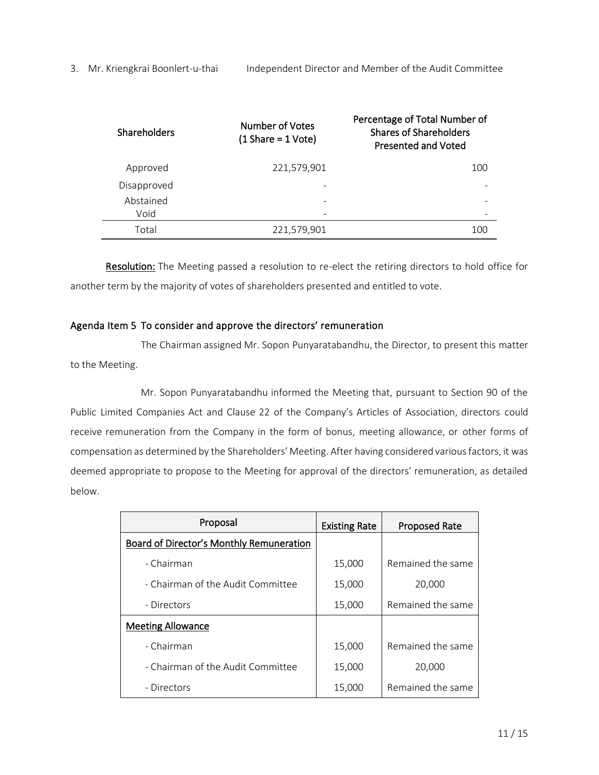| Shareholders | Number of Votes<br>$(1 \text{Share} = 1 \text{Vote})$ | Percentage of Total Number of<br><b>Shares of Shareholders</b><br><b>Presented and Voted</b> |
|--------------|-------------------------------------------------------|----------------------------------------------------------------------------------------------|
| Approved     | 221,579,901                                           | 100                                                                                          |
| Disapproved  |                                                       |                                                                                              |
| Abstained    |                                                       |                                                                                              |
| Void         |                                                       |                                                                                              |
| Total        | 221,579,901                                           | 100                                                                                          |

Resolution: The Meeting passed a resolution to re-elect the retiring directors to hold office for another term by the majority of votes of shareholders presented and entitled to vote.

# Agenda Item 5 To consider and approve the directors' remuneration

The Chairman assigned Mr. Sopon Punyaratabandhu, the Director, to present this matter to the Meeting.

Mr. Sopon Punyaratabandhu informed the Meeting that, pursuant to Section 90 of the Public Limited Companies Act and Clause 22 of the Company's Articles of Association, directors could receive remuneration from the Company in the form of bonus, meeting allowance, or other forms of compensation as determined by the Shareholders' Meeting. After having considered various factors, it was deemed appropriate to propose to the Meeting for approval of the directors' remuneration, as detailed below.

| Proposal                                 | <b>Existing Rate</b> | <b>Proposed Rate</b> |
|------------------------------------------|----------------------|----------------------|
| Board of Director's Monthly Remuneration |                      |                      |
| - Chairman                               | 15,000               | Remained the same    |
| - Chairman of the Audit Committee        | 15,000               | 20,000               |
| - Directors                              | 15,000               | Remained the same    |
| <b>Meeting Allowance</b>                 |                      |                      |
| - Chairman                               | 15,000               | Remained the same    |
| - Chairman of the Audit Committee        | 15,000               | 20,000               |
| - Directors                              | 15,000               | Remained the same    |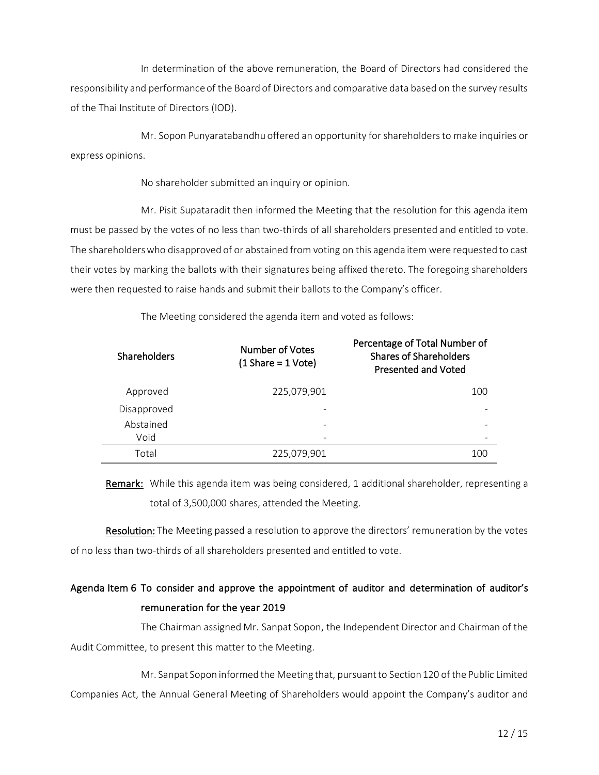In determination of the above remuneration, the Board of Directors had considered the responsibility and performance of the Board of Directors and comparative data based on the survey results of the Thai Institute of Directors (IOD).

Mr. Sopon Punyaratabandhu offered an opportunity for shareholders to make inquiries or express opinions.

No shareholder submitted an inquiry or opinion.

Mr. Pisit Supataradit then informed the Meeting that the resolution for this agenda item must be passed by the votes of no less than two-thirds of all shareholders presented and entitled to vote. The shareholders who disapproved of or abstained from voting on this agenda item were requested to cast their votes by marking the ballots with their signatures being affixed thereto. The foregoing shareholders were then requested to raise hands and submit their ballots to the Company's officer.

| Shareholders | <b>Number of Votes</b><br>$(1 \text{Share} = 1 \text{Vote})$ | Percentage of Total Number of<br><b>Shares of Shareholders</b><br><b>Presented and Voted</b> |
|--------------|--------------------------------------------------------------|----------------------------------------------------------------------------------------------|
| Approved     | 225,079,901                                                  | 100                                                                                          |
| Disapproved  |                                                              |                                                                                              |
| Abstained    |                                                              |                                                                                              |
| Void         |                                                              |                                                                                              |
| Total        | 225,079,901                                                  | 100                                                                                          |

The Meeting considered the agenda item and voted as follows:

Remark: While this agenda item was being considered, 1 additional shareholder, representing a total of 3,500,000 shares, attended the Meeting.

Resolution: The Meeting passed a resolution to approve the directors' remuneration by the votes of no less than two-thirds of all shareholders presented and entitled to vote.

# Agenda Item 6 To consider and approve the appointment of auditor and determination of auditor's remuneration for the year 2019

The Chairman assigned Mr. Sanpat Sopon, the Independent Director and Chairman of the Audit Committee, to present this matter to the Meeting.

Mr. Sanpat Sopon informed the Meeting that, pursuant to Section 120 of the Public Limited Companies Act, the Annual General Meeting of Shareholders would appoint the Company's auditor and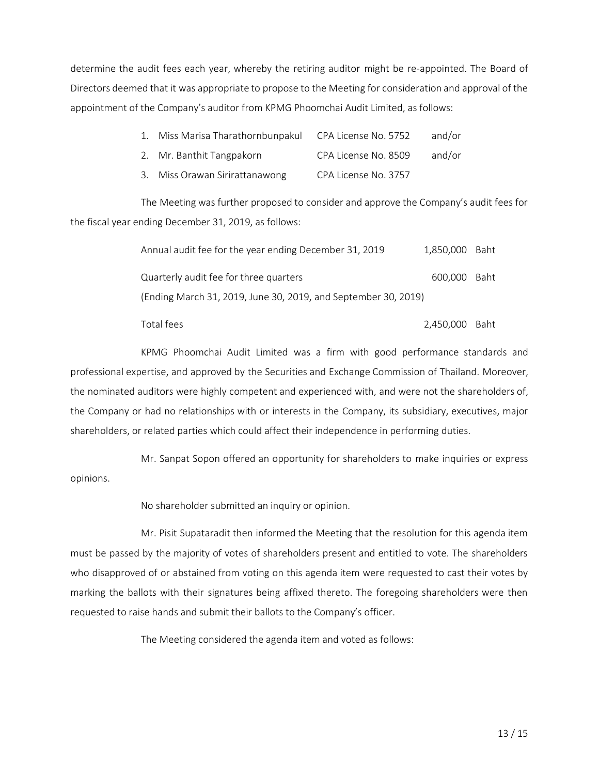determine the audit fees each year, whereby the retiring auditor might be re-appointed. The Board of Directors deemed that it was appropriate to propose to the Meeting for consideration and approval of the appointment of the Company's auditor from KPMG Phoomchai Audit Limited, as follows:

| 1. Miss Marisa Tharathornbunpakul | CPA License No. 5752 | and/or |
|-----------------------------------|----------------------|--------|
| 2. Mr. Banthit Tangpakorn         | CPA License No. 8509 | and/or |

3. Miss Orawan Sirirattanawong CPA License No. 3757

The Meeting was further proposed to consider and approve the Company's audit fees for the fiscal year ending December 31, 2019, as follows:

| Annual audit fee for the year ending December 31, 2019         | 1,850,000 Baht |  |
|----------------------------------------------------------------|----------------|--|
| Quarterly audit fee for three quarters                         | 600.000 Baht   |  |
| (Ending March 31, 2019, June 30, 2019, and September 30, 2019) |                |  |

Total fees 2,450,000 Baht

KPMG Phoomchai Audit Limited was a firm with good performance standards and professional expertise, and approved by the Securities and Exchange Commission of Thailand. Moreover, the nominated auditors were highly competent and experienced with, and were not the shareholders of, the Company or had no relationships with or interests in the Company, its subsidiary, executives, major shareholders, or related parties which could affect their independence in performing duties.

Mr. Sanpat Sopon offered an opportunity for shareholders to make inquiries or express opinions.

No shareholder submitted an inquiry or opinion.

Mr. Pisit Supataradit then informed the Meeting that the resolution for this agenda item must be passed by the majority of votes of shareholders present and entitled to vote. The shareholders who disapproved of or abstained from voting on this agenda item were requested to cast their votes by marking the ballots with their signatures being affixed thereto. The foregoing shareholders were then requested to raise hands and submit their ballots to the Company's officer.

The Meeting considered the agenda item and voted as follows: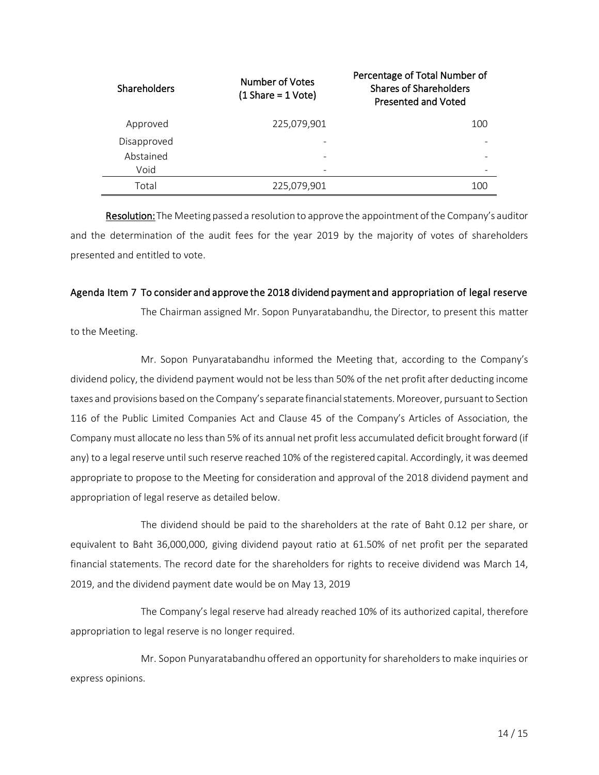| <b>Shareholders</b> | Number of Votes<br>$(1 \text{Share} = 1 \text{Vote})$ | Percentage of Total Number of<br><b>Shares of Shareholders</b><br><b>Presented and Voted</b> |
|---------------------|-------------------------------------------------------|----------------------------------------------------------------------------------------------|
| Approved            | 225,079,901                                           | 100                                                                                          |
| Disapproved         |                                                       |                                                                                              |
| Abstained           |                                                       |                                                                                              |
| Void                |                                                       |                                                                                              |
| Total               | 225,079,901                                           | 100                                                                                          |

Resolution:The Meeting passed a resolution to approve the appointment of the Company's auditor and the determination of the audit fees for the year 2019 by the majority of votes of shareholders presented and entitled to vote.

#### Agenda Item 7 To consider and approve the 2018 dividend payment and appropriation of legal reserve

The Chairman assigned Mr. Sopon Punyaratabandhu, the Director, to present this matter to the Meeting.

Mr. Sopon Punyaratabandhu informed the Meeting that, according to the Company's dividend policy, the dividend payment would not be less than 50% of the net profit after deducting income taxes and provisions based on the Company's separate financial statements. Moreover, pursuant to Section 116 of the Public Limited Companies Act and Clause 45 of the Company's Articles of Association, the Company must allocate no less than 5% of its annual net profit less accumulated deficit brought forward (if any) to a legal reserve until such reserve reached 10% of the registered capital. Accordingly, it was deemed appropriate to propose to the Meeting for consideration and approval of the 2018 dividend payment and appropriation of legal reserve as detailed below.

The dividend should be paid to the shareholders at the rate of Baht 0.12 per share, or equivalent to Baht 36,000,000, giving dividend payout ratio at 61.50% of net profit per the separated financial statements. The record date for the shareholders for rights to receive dividend was March 14, 2019, and the dividend payment date would be on May 13, 2019

The Company's legal reserve had already reached 10% of its authorized capital, therefore appropriation to legal reserve is no longer required.

Mr. Sopon Punyaratabandhu offered an opportunity for shareholders to make inquiries or express opinions.